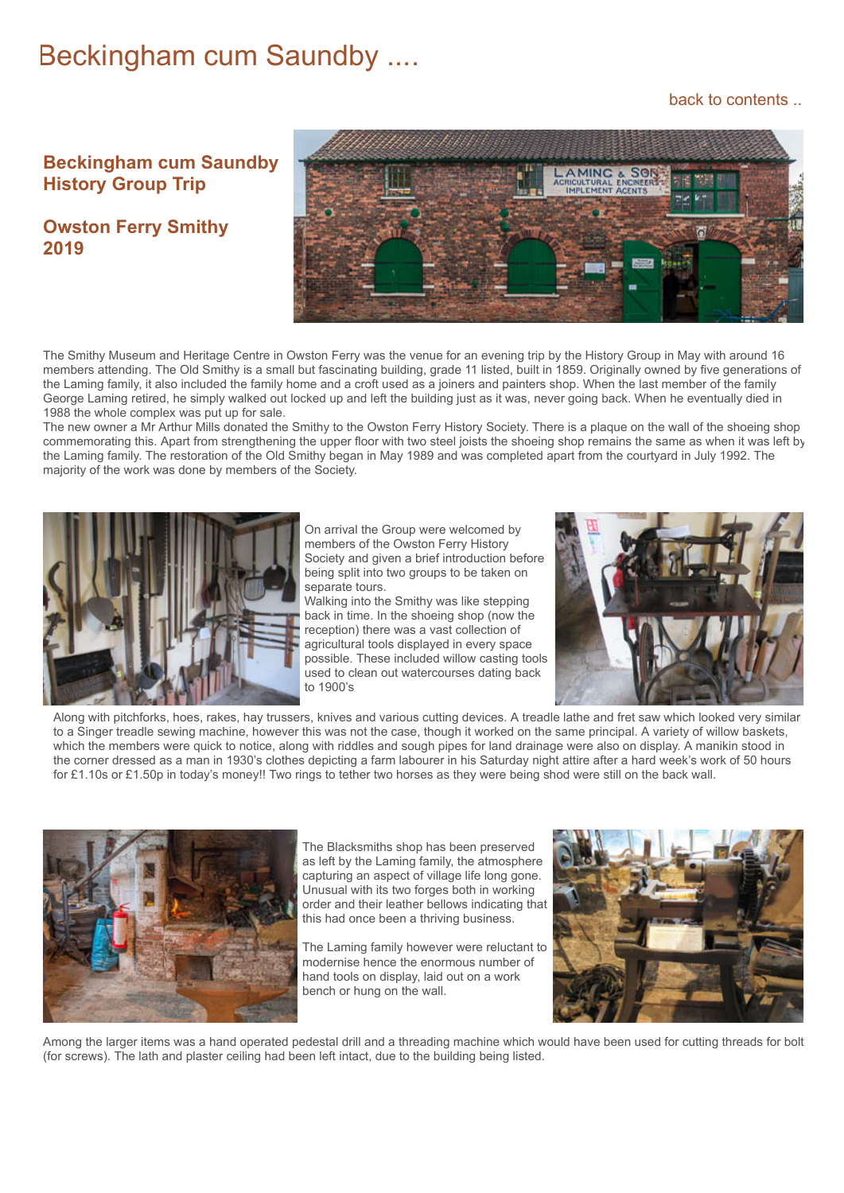## Beckingham cum Saundby ....

## [back to contents ..](https://www.beckingham-northnotts.org.uk/contents.htm)

## **Beckingham cum Saundby History Group Trip**

**Owston Ferry Smithy 2019**



The Smithy Museum and Heritage Centre in Owston Ferry was the venue for an evening trip by the History Group in May with around 16 members attending. The Old Smithy is a small but fascinating building, grade 11 listed, built in 1859. Originally owned by five generations of the Laming family, it also included the family home and a croft used as a joiners and painters shop. When the last member of the family George Laming retired, he simply walked out locked up and left the building just as it was, never going back. When he eventually died in 1988 the whole complex was put up for sale.

The new owner a Mr Arthur Mills donated the Smithy to the Owston Ferry History Society. There is a plaque on the wall of the shoeing shop commemorating this. Apart from strengthening the upper floor with two steel joists the shoeing shop remains the same as when it was left by the Laming family. The restoration of the Old Smithy began in May 1989 and was completed apart from the courtyard in July 1992. The majority of the work was done by members of the Society.



On arrival the Group were welcomed by members of the Owston Ferry History Society and given a brief introduction before being split into two groups to be taken on separate tours.

Walking into the Smithy was like stepping back in time. In the shoeing shop (now the reception) there was a vast collection of agricultural tools displayed in every space possible. These included willow casting tools used to clean out watercourses dating back to 1900's



Along with pitchforks, hoes, rakes, hay trussers, knives and various cutting devices. A treadle lathe and fret saw which looked very similar to a Singer treadle sewing machine, however this was not the case, though it worked on the same principal. A variety of willow baskets, which the members were quick to notice, along with riddles and sough pipes for land drainage were also on display. A manikin stood in the corner dressed as a man in 1930's clothes depicting a farm labourer in his Saturday night attire after a hard week's work of 50 hours for £1.10s or £1.50p in today's money!! Two rings to tether two horses as they were being shod were still on the back wall.



The Blacksmiths shop has been preserved as left by the Laming family, the atmosphere capturing an aspect of village life long gone. Unusual with its two forges both in working order and their leather bellows indicating that this had once been a thriving business.

The Laming family however were reluctant to modernise hence the enormous number of hand tools on display, laid out on a work bench or hung on the wall.



Among the larger items was a hand operated pedestal drill and a threading machine which would have been used for cutting threads for bolt (for screws). The lath and plaster ceiling had been left intact, due to the building being listed.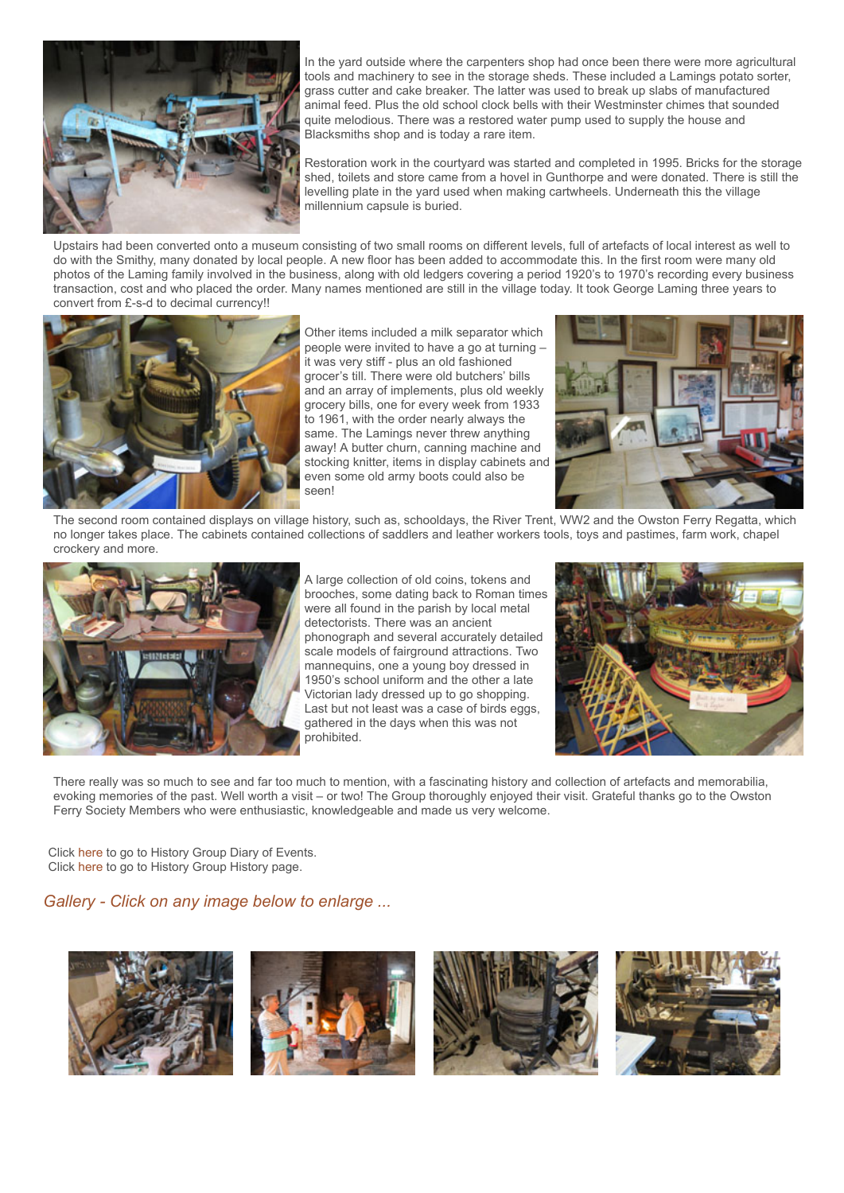

In the yard outside where the carpenters shop had once been there were more agricultural tools and machinery to see in the storage sheds. These included a Lamings potato sorter, grass cutter and cake breaker. The latter was used to break up slabs of manufactured animal feed. Plus the old school clock bells with their Westminster chimes that sounded quite melodious. There was a restored water pump used to supply the house and Blacksmiths shop and is today a rare item.

Restoration work in the courtyard was started and completed in 1995. Bricks for the storage shed, toilets and store came from a hovel in Gunthorpe and were donated. There is still the levelling plate in the yard used when making cartwheels. Underneath this the village millennium capsule is buried.

Upstairs had been converted onto a museum consisting of two small rooms on different levels, full of artefacts of local interest as well to do with the Smithy, many donated by local people. A new floor has been added to accommodate this. In the first room were many old photos of the Laming family involved in the business, along with old ledgers covering a period 1920's to 1970's recording every business transaction, cost and who placed the order. Many names mentioned are still in the village today. It took George Laming three years to convert from £-s-d to decimal currency!!



Other items included a milk separator which people were invited to have a go at turning – it was very stiff - plus an old fashioned grocer's till. There were old butchers' bills and an array of implements, plus old weekly grocery bills, one for every week from 1933 to 1961, with the order nearly always the same. The Lamings never threw anything away! A butter churn, canning machine and stocking knitter, items in display cabinets and even some old army boots could also be seen!



The second room contained displays on village history, such as, schooldays, the River Trent, WW2 and the Owston Ferry Regatta, which no longer takes place. The cabinets contained collections of saddlers and leather workers tools, toys and pastimes, farm work, chapel crockery and more.



A large collection of old coins, tokens and brooches, some dating back to Roman times were all found in the parish by local metal detectorists. There was an ancient phonograph and several accurately detailed scale models of fairground attractions. Two mannequins, one a young boy dressed in 1950's school uniform and the other a late Victorian lady dressed up to go shopping. Last but not least was a case of birds eggs, gathered in the days when this was not prohibited.



There really was so much to see and far too much to mention, with a fascinating history and collection of artefacts and memorabilia, evoking memories of the past. Well worth a visit – or two! The Group thoroughly enjoyed their visit. Grateful thanks go to the Owston Ferry Society Members who were enthusiastic, knowledgeable and made us very welcome.

Click [here](https://www.beckingham-northnotts.org.uk/history/hgtoday3.html) to go to History Group Diary of Events. Click [here](https://www.beckingham-northnotts.org.uk/history/historygroup.html) to go to History Group History page.

## *Gallery - Click on any image below to enlarge ...*